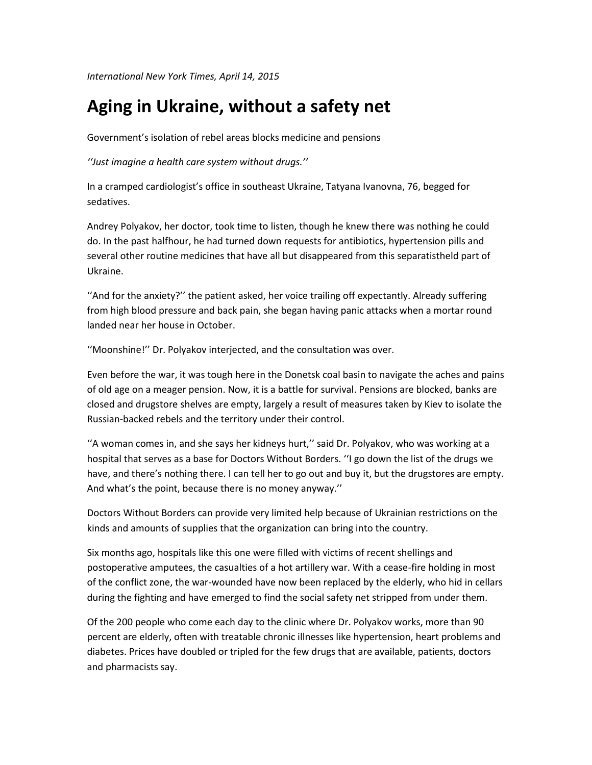*International New York Times, April 14, 2015*

## **Aging in Ukraine, without a safety net**

Government's isolation of rebel areas blocks medicine and pensions

*''Just imagine a health care system without drugs.''*

In a cramped cardiologist's office in southeast Ukraine, Tatyana Ivanovna, 76, begged for sedatives.

Andrey Polyakov, her doctor, took time to listen, though he knew there was nothing he could do. In the past halfhour, he had turned down requests for antibiotics, hypertension pills and several other routine medicines that have all but disappeared from this separatistheld part of Ukraine.

''And for the anxiety?'' the patient asked, her voice trailing off expectantly. Already suffering from high blood pressure and back pain, she began having panic attacks when a mortar round landed near her house in October.

''Moonshine!'' Dr. Polyakov interjected, and the consultation was over.

Even before the war, it was tough here in the Donetsk coal basin to navigate the aches and pains of old age on a meager pension. Now, it is a battle for survival. Pensions are blocked, banks are closed and drugstore shelves are empty, largely a result of measures taken by Kiev to isolate the Russian-backed rebels and the territory under their control.

''A woman comes in, and she says her kidneys hurt,'' said Dr. Polyakov, who was working at a hospital that serves as a base for Doctors Without Borders. ''I go down the list of the drugs we have, and there's nothing there. I can tell her to go out and buy it, but the drugstores are empty. And what's the point, because there is no money anyway.''

Doctors Without Borders can provide very limited help because of Ukrainian restrictions on the kinds and amounts of supplies that the organization can bring into the country.

Six months ago, hospitals like this one were filled with victims of recent shellings and postoperative amputees, the casualties of a hot artillery war. With a cease-fire holding in most of the conflict zone, the war-wounded have now been replaced by the elderly, who hid in cellars during the fighting and have emerged to find the social safety net stripped from under them.

Of the 200 people who come each day to the clinic where Dr. Polyakov works, more than 90 percent are elderly, often with treatable chronic illnesses like hypertension, heart problems and diabetes. Prices have doubled or tripled for the few drugs that are available, patients, doctors and pharmacists say.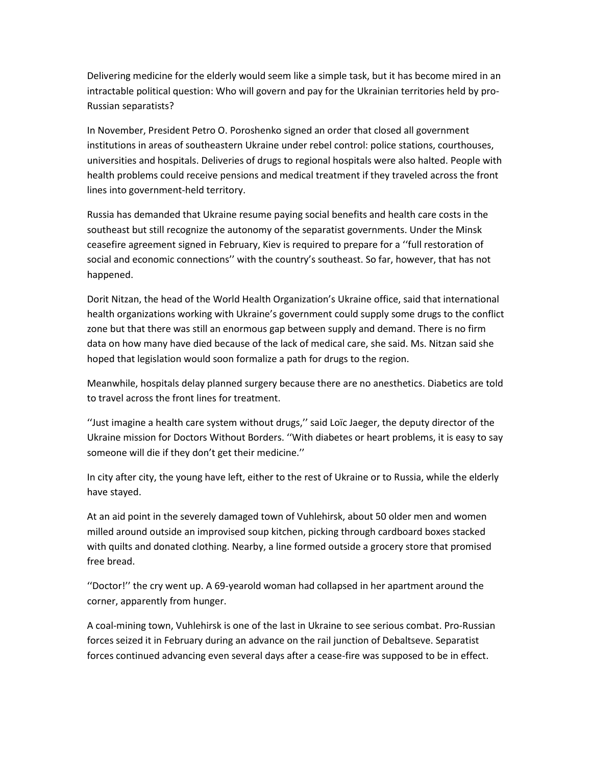Delivering medicine for the elderly would seem like a simple task, but it has become mired in an intractable political question: Who will govern and pay for the Ukrainian territories held by pro-Russian separatists?

In November, President Petro O. Poroshenko signed an order that closed all government institutions in areas of southeastern Ukraine under rebel control: police stations, courthouses, universities and hospitals. Deliveries of drugs to regional hospitals were also halted. People with health problems could receive pensions and medical treatment if they traveled across the front lines into government-held territory.

Russia has demanded that Ukraine resume paying social benefits and health care costs in the southeast but still recognize the autonomy of the separatist governments. Under the Minsk ceasefire agreement signed in February, Kiev is required to prepare for a ''full restoration of social and economic connections'' with the country's southeast. So far, however, that has not happened.

Dorit Nitzan, the head of the World Health Organization's Ukraine office, said that international health organizations working with Ukraine's government could supply some drugs to the conflict zone but that there was still an enormous gap between supply and demand. There is no firm data on how many have died because of the lack of medical care, she said. Ms. Nitzan said she hoped that legislation would soon formalize a path for drugs to the region.

Meanwhile, hospitals delay planned surgery because there are no anesthetics. Diabetics are told to travel across the front lines for treatment.

''Just imagine a health care system without drugs,'' said Loïc Jaeger, the deputy director of the Ukraine mission for Doctors Without Borders. ''With diabetes or heart problems, it is easy to say someone will die if they don't get their medicine.''

In city after city, the young have left, either to the rest of Ukraine or to Russia, while the elderly have stayed.

At an aid point in the severely damaged town of Vuhlehirsk, about 50 older men and women milled around outside an improvised soup kitchen, picking through cardboard boxes stacked with quilts and donated clothing. Nearby, a line formed outside a grocery store that promised free bread.

''Doctor!'' the cry went up. A 69-yearold woman had collapsed in her apartment around the corner, apparently from hunger.

A coal-mining town, Vuhlehirsk is one of the last in Ukraine to see serious combat. Pro-Russian forces seized it in February during an advance on the rail junction of Debaltseve. Separatist forces continued advancing even several days after a cease-fire was supposed to be in effect.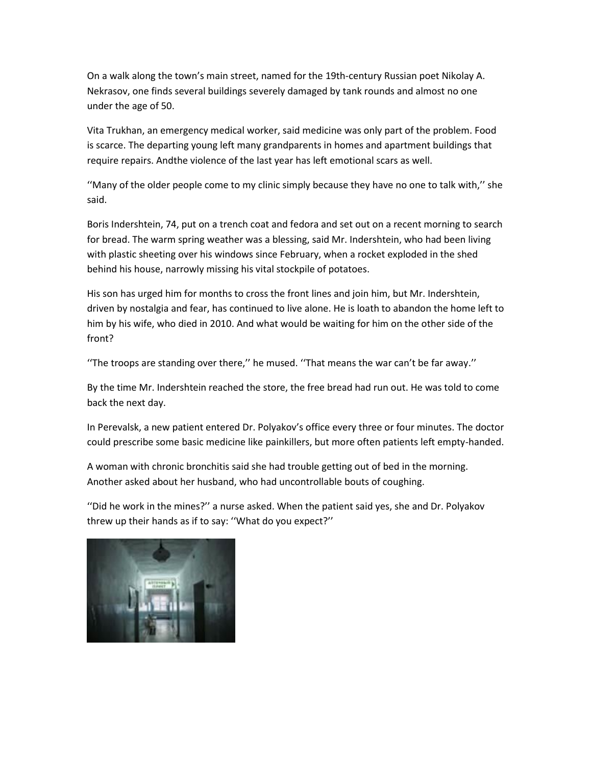On a walk along the town's main street, named for the 19th-century Russian poet Nikolay A. Nekrasov, one finds several buildings severely damaged by tank rounds and almost no one under the age of 50.

Vita Trukhan, an emergency medical worker, said medicine was only part of the problem. Food is scarce. The departing young left many grandparents in homes and apartment buildings that require repairs. Andthe violence of the last year has left emotional scars as well.

''Many of the older people come to my clinic simply because they have no one to talk with,'' she said.

Boris Indershtein, 74, put on a trench coat and fedora and set out on a recent morning to search for bread. The warm spring weather was a blessing, said Mr. Indershtein, who had been living with plastic sheeting over his windows since February, when a rocket exploded in the shed behind his house, narrowly missing his vital stockpile of potatoes.

His son has urged him for months to cross the front lines and join him, but Mr. Indershtein, driven by nostalgia and fear, has continued to live alone. He is loath to abandon the home left to him by his wife, who died in 2010. And what would be waiting for him on the other side of the front?

''The troops are standing over there,'' he mused. ''That means the war can't be far away.''

By the time Mr. Indershtein reached the store, the free bread had run out. He was told to come back the next day.

In Perevalsk, a new patient entered Dr. Polyakov's office every three or four minutes. The doctor could prescribe some basic medicine like painkillers, but more often patients left empty-handed.

A woman with chronic bronchitis said she had trouble getting out of bed in the morning. Another asked about her husband, who had uncontrollable bouts of coughing.

''Did he work in the mines?'' a nurse asked. When the patient said yes, she and Dr. Polyakov threw up their hands as if to say: ''What do you expect?''